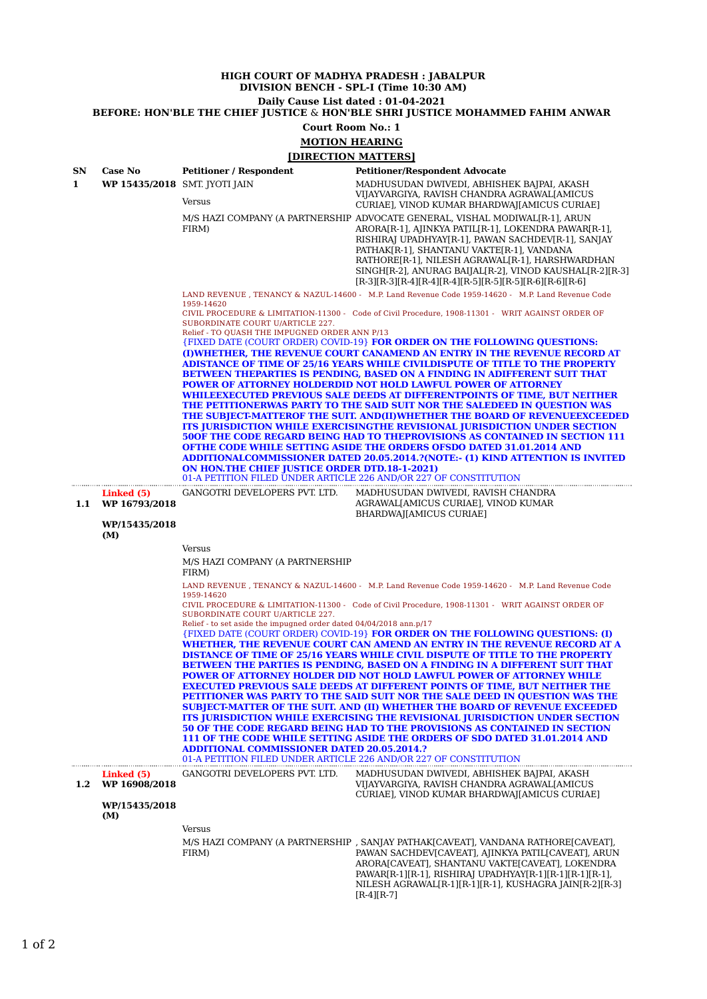## **HIGH COURT OF MADHYA PRADESH : JABALPUR DIVISION BENCH - SPL-I (Time 10:30 AM) Daily Cause List dated : 01-04-2021**

**BEFORE: HON'BLE THE CHIEF JUSTICE** & **HON'BLE SHRI JUSTICE MOHAMMED FAHIM ANWAR**

**Court Room No.: 1**

**MOTION HEARING**

## **[DIRECTION MATTERS]**

| SN<br>1 | Case No<br>WP 15435/2018 SMT. JYOTI JAIN | <b>Petitioner / Respondent</b><br><b>Versus</b>                                                                                                                                                                                                                                                                                                                                                                                                                                                                                                                                                                                                                                                                                                                                                                                                                                                                                                                                                                                                                             | <b>Petitioner/Respondent Advocate</b><br>MADHUSUDAN DWIVEDI, ABHISHEK BAJPAI, AKASH<br>VIJAYVARGIYA, RAVISH CHANDRA AGRAWALJAMICUS<br>CURIAE], VINOD KUMAR BHARDWAJ[AMICUS CURIAE]                                                                                                                                                                                                                                |
|---------|------------------------------------------|-----------------------------------------------------------------------------------------------------------------------------------------------------------------------------------------------------------------------------------------------------------------------------------------------------------------------------------------------------------------------------------------------------------------------------------------------------------------------------------------------------------------------------------------------------------------------------------------------------------------------------------------------------------------------------------------------------------------------------------------------------------------------------------------------------------------------------------------------------------------------------------------------------------------------------------------------------------------------------------------------------------------------------------------------------------------------------|-------------------------------------------------------------------------------------------------------------------------------------------------------------------------------------------------------------------------------------------------------------------------------------------------------------------------------------------------------------------------------------------------------------------|
|         |                                          | FIRM)                                                                                                                                                                                                                                                                                                                                                                                                                                                                                                                                                                                                                                                                                                                                                                                                                                                                                                                                                                                                                                                                       | M/S HAZI COMPANY (A PARTNERSHIP ADVOCATE GENERAL, VISHAL MODIWAL[R-1], ARUN<br>ARORA[R-1], AJINKYA PATIL[R-1], LOKENDRA PAWAR[R-1],<br>RISHIRAJ UPADHYAY[R-1], PAWAN SACHDEV[R-1], SANJAY<br>PATHAK[R-1], SHANTANU VAKTE[R-1], VANDANA<br>RATHORE[R-1], NILESH AGRAWAL[R-1], HARSHWARDHAN<br>SINGH[R-2], ANURAG BAIJAL[R-2], VINOD KAUSHAL[R-2][R-3]<br>$[R-3][R-3][R-4][R-4][R-4][R-5][R-5][R-5][R-6][R-6][R-6]$ |
|         |                                          | 1959-14620<br>SUBORDINATE COURT U/ARTICLE 227.                                                                                                                                                                                                                                                                                                                                                                                                                                                                                                                                                                                                                                                                                                                                                                                                                                                                                                                                                                                                                              | LAND REVENUE, TENANCY & NAZUL-14600 - M.P. Land Revenue Code 1959-14620 - M.P. Land Revenue Code<br>CIVIL PROCEDURE & LIMITATION-11300 - Code of Civil Procedure, 1908-11301 - WRIT AGAINST ORDER OF                                                                                                                                                                                                              |
|         |                                          | Relief - TO QUASH THE IMPUGNED ORDER ANN P/13<br>{FIXED DATE (COURT ORDER) COVID-19} FOR ORDER ON THE FOLLOWING QUESTIONS:<br>(I) WHETHER, THE REVENUE COURT CANAMEND AN ENTRY IN THE REVENUE RECORD AT<br>ADISTANCE OF TIME OF 25/16 YEARS WHILE CIVILDISPUTE OF TITLE TO THE PROPERTY<br><b>BETWEEN THEPARTIES IS PENDING, BASED ON A FINDING IN ADIFFERENT SUIT THAT</b><br>POWER OF ATTORNEY HOLDERDID NOT HOLD LAWFUL POWER OF ATTORNEY<br>WHILEEXECUTED PREVIOUS SALE DEEDS AT DIFFERENTPOINTS OF TIME, BUT NEITHER<br>THE PETITIONERWAS PARTY TO THE SAID SUIT NOR THE SALEDEED IN QUESTION WAS<br>THE SUBJECT-MATTEROF THE SUIT. AND(II) WHETHER THE BOARD OF REVENUEEXCEEDED<br>ITS JURISDICTION WHILE EXERCISINGTHE REVISIONAL JURISDICTION UNDER SECTION<br>500F THE CODE REGARD BEING HAD TO THEPROVISIONS AS CONTAINED IN SECTION 111<br><b>OFTHE CODE WHILE SETTING ASIDE THE ORDERS OFSDO DATED 31.01.2014 AND</b><br>ADDITIONALCOMMISSIONER DATED 20.05.2014.?(NOTE:- (1) KIND ATTENTION IS INVITED<br><b>ON HON.THE CHIEF JUSTICE ORDER DTD.18-1-2021)</b> |                                                                                                                                                                                                                                                                                                                                                                                                                   |
|         |                                          | 01-A PETITION FILED UNDER ARTICLE 226 AND/OR 227 OF CONSTITUTION                                                                                                                                                                                                                                                                                                                                                                                                                                                                                                                                                                                                                                                                                                                                                                                                                                                                                                                                                                                                            |                                                                                                                                                                                                                                                                                                                                                                                                                   |
| 1.1     | Linked (5)<br>WP 16793/2018              | GANGOTRI DEVELOPERS PVT. LTD.                                                                                                                                                                                                                                                                                                                                                                                                                                                                                                                                                                                                                                                                                                                                                                                                                                                                                                                                                                                                                                               | MADHUSUDAN DWIVEDI, RAVISH CHANDRA<br>AGRAWAL[AMICUS CURIAE], VINOD KUMAR                                                                                                                                                                                                                                                                                                                                         |
|         | WP/15435/2018<br>(M)                     |                                                                                                                                                                                                                                                                                                                                                                                                                                                                                                                                                                                                                                                                                                                                                                                                                                                                                                                                                                                                                                                                             | BHARDWAJ[AMICUS CURIAE]                                                                                                                                                                                                                                                                                                                                                                                           |
|         |                                          | Versus                                                                                                                                                                                                                                                                                                                                                                                                                                                                                                                                                                                                                                                                                                                                                                                                                                                                                                                                                                                                                                                                      |                                                                                                                                                                                                                                                                                                                                                                                                                   |
|         |                                          | M/S HAZI COMPANY (A PARTNERSHIP<br>FIRM)                                                                                                                                                                                                                                                                                                                                                                                                                                                                                                                                                                                                                                                                                                                                                                                                                                                                                                                                                                                                                                    |                                                                                                                                                                                                                                                                                                                                                                                                                   |
|         |                                          | 1959-14620                                                                                                                                                                                                                                                                                                                                                                                                                                                                                                                                                                                                                                                                                                                                                                                                                                                                                                                                                                                                                                                                  | LAND REVENUE, TENANCY & NAZUL-14600 - M.P. Land Revenue Code 1959-14620 - M.P. Land Revenue Code                                                                                                                                                                                                                                                                                                                  |
|         |                                          | SUBORDINATE COURT U/ARTICLE 227.<br>Relief - to set aside the impugned order dated 04/04/2018 ann.p/17                                                                                                                                                                                                                                                                                                                                                                                                                                                                                                                                                                                                                                                                                                                                                                                                                                                                                                                                                                      | CIVIL PROCEDURE & LIMITATION-11300 - Code of Civil Procedure, 1908-11301 - WRIT AGAINST ORDER OF                                                                                                                                                                                                                                                                                                                  |
|         |                                          | {FIXED DATE (COURT ORDER) COVID-19} FOR ORDER ON THE FOLLOWING QUESTIONS: (I)<br>WHETHER, THE REVENUE COURT CAN AMEND AN ENTRY IN THE REVENUE RECORD AT A<br><b>DISTANCE OF TIME OF 25/16 YEARS WHILE CIVIL DISPUTE OF TITLE TO THE PROPERTY</b><br><b>BETWEEN THE PARTIES IS PENDING, BASED ON A FINDING IN A DIFFERENT SUIT THAT</b><br>POWER OF ATTORNEY HOLDER DID NOT HOLD LAWFUL POWER OF ATTORNEY WHILE<br><b>EXECUTED PREVIOUS SALE DEEDS AT DIFFERENT POINTS OF TIME, BUT NEITHER THE</b><br>PETITIONER WAS PARTY TO THE SAID SUIT NOR THE SALE DEED IN QUESTION WAS THE<br>SUBJECT-MATTER OF THE SUIT. AND (II) WHETHER THE BOARD OF REVENUE EXCEEDED<br>ITS JURISDICTION WHILE EXERCISING THE REVISIONAL JURISDICTION UNDER SECTION                                                                                                                                                                                                                                                                                                                              |                                                                                                                                                                                                                                                                                                                                                                                                                   |
|         |                                          | <b>ADDITIONAL COMMISSIONER DATED 20.05.2014.?</b><br>01-A PETITION FILED UNDER ARTICLE 226 AND/OR 227 OF CONSTITUTION                                                                                                                                                                                                                                                                                                                                                                                                                                                                                                                                                                                                                                                                                                                                                                                                                                                                                                                                                       | 50 OF THE CODE REGARD BEING HAD TO THE PROVISIONS AS CONTAINED IN SECTION<br>111 OF THE CODE WHILE SETTING ASIDE THE ORDERS OF SDO DATED 31.01.2014 AND                                                                                                                                                                                                                                                           |
| 1.2     | Linked (5)<br>WP 16908/2018              | GANGOTRI DEVELOPERS PVT. LTD.                                                                                                                                                                                                                                                                                                                                                                                                                                                                                                                                                                                                                                                                                                                                                                                                                                                                                                                                                                                                                                               | MADHUSUDAN DWIVEDI, ABHISHEK BAJPAI, AKASH<br>VIJAYVARGIYA, RAVISH CHANDRA AGRAWALJAMICUS                                                                                                                                                                                                                                                                                                                         |
|         | WP/15435/2018<br>(M)                     |                                                                                                                                                                                                                                                                                                                                                                                                                                                                                                                                                                                                                                                                                                                                                                                                                                                                                                                                                                                                                                                                             | CURIAE], VINOD KUMAR BHARDWAJ[AMICUS CURIAE]                                                                                                                                                                                                                                                                                                                                                                      |
|         |                                          | Versus                                                                                                                                                                                                                                                                                                                                                                                                                                                                                                                                                                                                                                                                                                                                                                                                                                                                                                                                                                                                                                                                      |                                                                                                                                                                                                                                                                                                                                                                                                                   |
|         |                                          | FIRM)                                                                                                                                                                                                                                                                                                                                                                                                                                                                                                                                                                                                                                                                                                                                                                                                                                                                                                                                                                                                                                                                       | M/S HAZI COMPANY (A PARTNERSHIP, SANJAY PATHAK CAVEAT], VANDANA RATHORE [CAVEAT],<br>PAWAN SACHDEV[CAVEAT], AJINKYA PATIL[CAVEAT], ARUN<br>ARORAJCAVEAT], SHANTANU VAKTEJCAVEAT], LOKENDRA<br>PAWAR[R-1][R-1], RISHIRAJ UPADHYAY[R-1][R-1][R-1][R-1],<br>NILESH AGRAWAL[R-1][R-1][R-1], KUSHAGRA JAIN[R-2][R-3]<br>$[R-4][R-7]$                                                                                   |